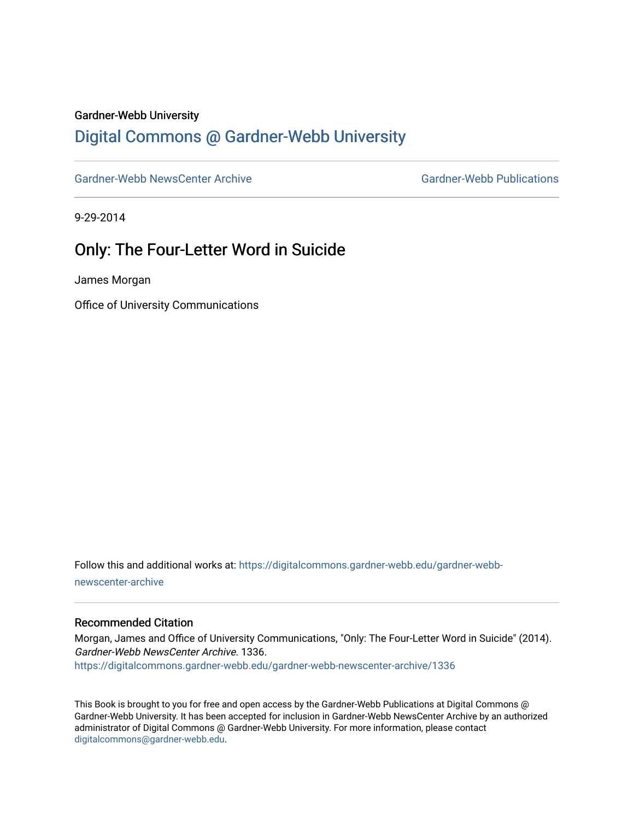#### Gardner-Webb University

## [Digital Commons @ Gardner-Webb University](https://digitalcommons.gardner-webb.edu/)

[Gardner-Webb NewsCenter Archive](https://digitalcommons.gardner-webb.edu/gardner-webb-newscenter-archive) Gardner-Webb Publications

9-29-2014

## Only: The Four-Letter Word in Suicide

James Morgan

Office of University Communications

Follow this and additional works at: [https://digitalcommons.gardner-webb.edu/gardner-webb](https://digitalcommons.gardner-webb.edu/gardner-webb-newscenter-archive?utm_source=digitalcommons.gardner-webb.edu%2Fgardner-webb-newscenter-archive%2F1336&utm_medium=PDF&utm_campaign=PDFCoverPages)[newscenter-archive](https://digitalcommons.gardner-webb.edu/gardner-webb-newscenter-archive?utm_source=digitalcommons.gardner-webb.edu%2Fgardner-webb-newscenter-archive%2F1336&utm_medium=PDF&utm_campaign=PDFCoverPages)

#### Recommended Citation

Morgan, James and Office of University Communications, "Only: The Four-Letter Word in Suicide" (2014). Gardner-Webb NewsCenter Archive. 1336. [https://digitalcommons.gardner-webb.edu/gardner-webb-newscenter-archive/1336](https://digitalcommons.gardner-webb.edu/gardner-webb-newscenter-archive/1336?utm_source=digitalcommons.gardner-webb.edu%2Fgardner-webb-newscenter-archive%2F1336&utm_medium=PDF&utm_campaign=PDFCoverPages) 

This Book is brought to you for free and open access by the Gardner-Webb Publications at Digital Commons @ Gardner-Webb University. It has been accepted for inclusion in Gardner-Webb NewsCenter Archive by an authorized administrator of Digital Commons @ Gardner-Webb University. For more information, please contact [digitalcommons@gardner-webb.edu](mailto:digitalcommons@gardner-webb.edu).